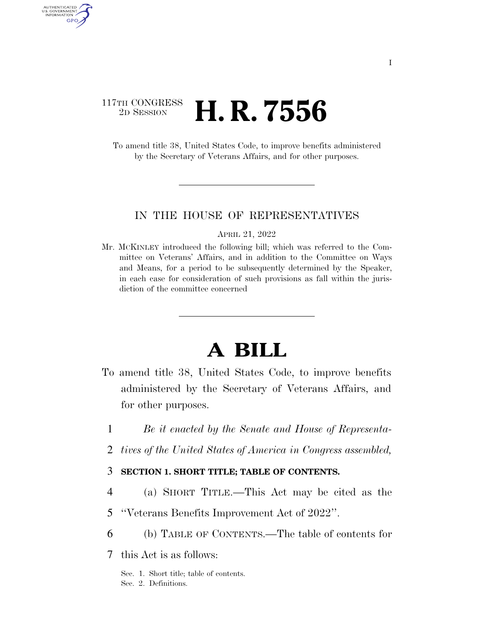### 117TH CONGRESS <sup>2D SESSION</sup> **H. R. 7556**

AUTHENTICATED U.S. GOVERNMENT GPO

> To amend title 38, United States Code, to improve benefits administered by the Secretary of Veterans Affairs, and for other purposes.

#### IN THE HOUSE OF REPRESENTATIVES

APRIL 21, 2022

Mr. MCKINLEY introduced the following bill; which was referred to the Committee on Veterans' Affairs, and in addition to the Committee on Ways and Means, for a period to be subsequently determined by the Speaker, in each case for consideration of such provisions as fall within the jurisdiction of the committee concerned

# **A BILL**

- To amend title 38, United States Code, to improve benefits administered by the Secretary of Veterans Affairs, and for other purposes.
	- 1 *Be it enacted by the Senate and House of Representa-*
	- 2 *tives of the United States of America in Congress assembled,*

### 3 **SECTION 1. SHORT TITLE; TABLE OF CONTENTS.**

- 4 (a) SHORT TITLE.—This Act may be cited as the
- 5 ''Veterans Benefits Improvement Act of 2022''.
- 6 (b) TABLE OF CONTENTS.—The table of contents for
- 7 this Act is as follows:

Sec. 1. Short title; table of contents. Sec. 2. Definitions.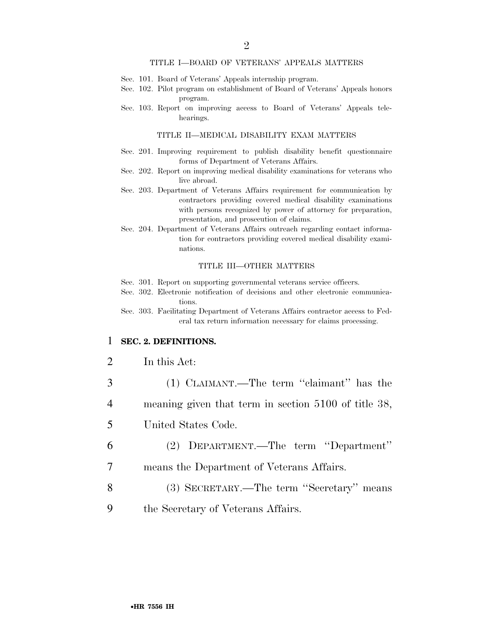#### TITLE I—BOARD OF VETERANS' APPEALS MATTERS

- Sec. 101. Board of Veterans' Appeals internship program.
- Sec. 102. Pilot program on establishment of Board of Veterans' Appeals honors program.
- Sec. 103. Report on improving access to Board of Veterans' Appeals telehearings.

TITLE II—MEDICAL DISABILITY EXAM MATTERS

- Sec. 201. Improving requirement to publish disability benefit questionnaire forms of Department of Veterans Affairs.
- Sec. 202. Report on improving medical disability examinations for veterans who live abroad.
- Sec. 203. Department of Veterans Affairs requirement for communication by contractors providing covered medical disability examinations with persons recognized by power of attorney for preparation, presentation, and prosecution of claims.
- Sec. 204. Department of Veterans Affairs outreach regarding contact information for contractors providing covered medical disability examinations.

#### TITLE III—OTHER MATTERS

- Sec. 301. Report on supporting governmental veterans service officers.
- Sec. 302. Electronic notification of decisions and other electronic communications.
- Sec. 303. Facilitating Department of Veterans Affairs contractor access to Federal tax return information necessary for claims processing.

#### 1 **SEC. 2. DEFINITIONS.**

#### 2 In this Act:

- 3 (1) CLAIMANT.—The term "claimant" has the
- 4 meaning given that term in section 5100 of title 38,
- 5 United States Code.
- 6 (2) DEPARTMENT.—The term ''Department''
- 7 means the Department of Veterans Affairs.
- 8 (3) SECRETARY.—The term ''Secretary'' means
- 9 the Secretary of Veterans Affairs.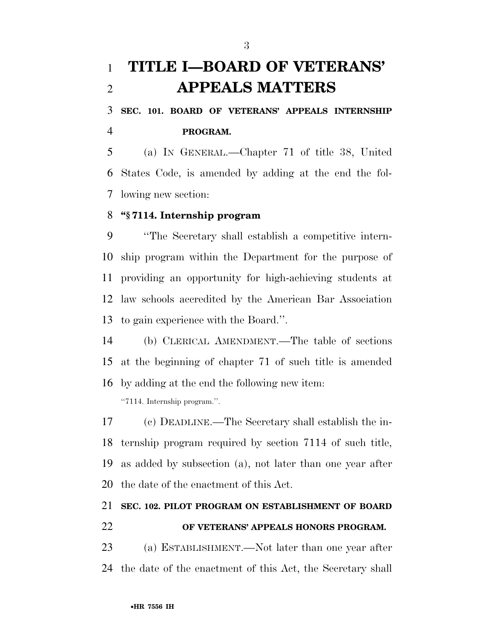# **TITLE I—BOARD OF VETERANS' APPEALS MATTERS**

 **SEC. 101. BOARD OF VETERANS' APPEALS INTERNSHIP PROGRAM.** 

 (a) IN GENERAL.—Chapter 71 of title 38, United States Code, is amended by adding at the end the fol-lowing new section:

### **''§ 7114. Internship program**

 ''The Secretary shall establish a competitive intern- ship program within the Department for the purpose of providing an opportunity for high-achieving students at law schools accredited by the American Bar Association to gain experience with the Board.''.

 (b) CLERICAL AMENDMENT.—The table of sections at the beginning of chapter 71 of such title is amended by adding at the end the following new item:

''7114. Internship program.''.

 (c) DEADLINE.—The Secretary shall establish the in- ternship program required by section 7114 of such title, as added by subsection (a), not later than one year after the date of the enactment of this Act.

## **SEC. 102. PILOT PROGRAM ON ESTABLISHMENT OF BOARD OF VETERANS' APPEALS HONORS PROGRAM.**

 (a) ESTABLISHMENT.—Not later than one year after the date of the enactment of this Act, the Secretary shall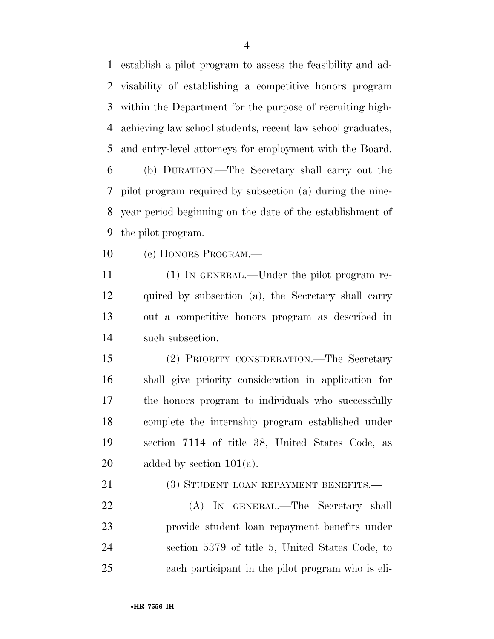establish a pilot program to assess the feasibility and ad- visability of establishing a competitive honors program within the Department for the purpose of recruiting high- achieving law school students, recent law school graduates, and entry-level attorneys for employment with the Board.

 (b) DURATION.—The Secretary shall carry out the pilot program required by subsection (a) during the nine- year period beginning on the date of the establishment of the pilot program.

(c) HONORS PROGRAM.—

 (1) IN GENERAL.—Under the pilot program re- quired by subsection (a), the Secretary shall carry out a competitive honors program as described in such subsection.

 (2) PRIORITY CONSIDERATION.—The Secretary shall give priority consideration in application for the honors program to individuals who successfully complete the internship program established under section 7114 of title 38, United States Code, as 20 added by section  $101(a)$ .

21 (3) STUDENT LOAN REPAYMENT BENEFITS.

 (A) IN GENERAL.—The Secretary shall provide student loan repayment benefits under section 5379 of title 5, United States Code, to each participant in the pilot program who is eli-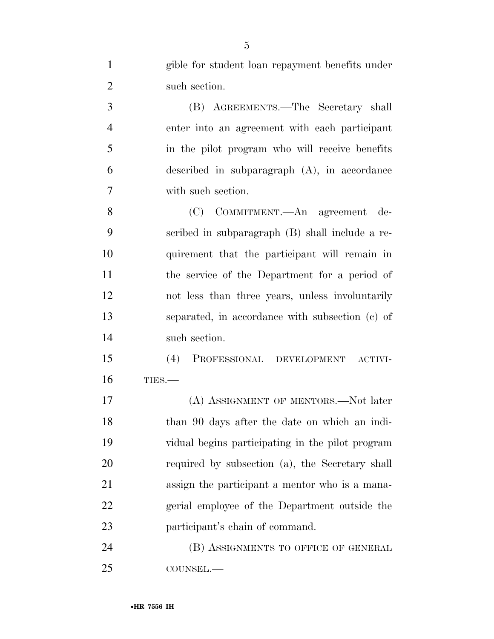| $\mathbf{1}$   | gible for student loan repayment benefits under  |
|----------------|--------------------------------------------------|
| $\overline{2}$ | such section.                                    |
| 3              | (B) AGREEMENTS.—The Secretary shall              |
| $\overline{4}$ | enter into an agreement with each participant    |
| 5              | in the pilot program who will receive benefits   |
| 6              | described in subparagraph (A), in accordance     |
| 7              | with such section.                               |
| 8              | (C) COMMITMENT.—An agreement de-                 |
| 9              | scribed in subparagraph (B) shall include a re-  |
| 10             | quirement that the participant will remain in    |
| 11             | the service of the Department for a period of    |
| 12             | not less than three years, unless involuntarily  |
| 13             | separated, in accordance with subsection (c) of  |
| 14             | such section.                                    |
| 15             | (4)<br>PROFESSIONAL DEVELOPMENT ACTIVI-          |
| 16             | TIES.                                            |
| 17             | (A) ASSIGNMENT OF MENTORS.—Not later             |
| 18             | than 90 days after the date on which an indi-    |
| 19             | vidual begins participating in the pilot program |
| 20             | required by subsection (a), the Secretary shall  |
| 21             | assign the participant a mentor who is a mana-   |
| 22             | gerial employee of the Department outside the    |
| 23             | participant's chain of command.                  |
| 24             | (B) ASSIGNMENTS TO OFFICE OF GENERAL             |
|                |                                                  |

COUNSEL.—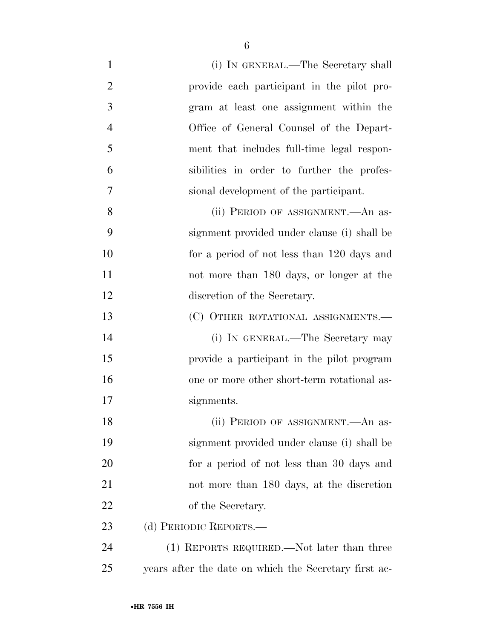| $\mathbf{1}$   | (i) IN GENERAL.—The Secretary shall                   |
|----------------|-------------------------------------------------------|
| $\overline{2}$ | provide each participant in the pilot pro-            |
| 3              | gram at least one assignment within the               |
| $\overline{4}$ | Office of General Counsel of the Depart-              |
| 5              | ment that includes full-time legal respon-            |
| 6              | sibilities in order to further the profes-            |
| 7              | sional development of the participant.                |
| 8              | (ii) PERIOD OF ASSIGNMENT. An as-                     |
| 9              | signment provided under clause (i) shall be           |
| 10             | for a period of not less than 120 days and            |
| 11             | not more than 180 days, or longer at the              |
| 12             | discretion of the Secretary.                          |
| 13             | (C) OTHER ROTATIONAL ASSIGNMENTS.-                    |
| 14             | (i) IN GENERAL.—The Secretary may                     |
| 15             | provide a participant in the pilot program            |
| 16             | one or more other short-term rotational as-           |
| 17             | signments.                                            |
| 18             | (ii) PERIOD OF ASSIGNMENT.—An as-                     |
| 19             | signment provided under clause (i) shall be           |
| 20             | for a period of not less than 30 days and             |
| 21             | not more than 180 days, at the discretion             |
| 22             | of the Secretary.                                     |
| 23             | (d) PERIODIC REPORTS.—                                |
| 24             | (1) REPORTS REQUIRED.—Not later than three            |
| 25             | years after the date on which the Secretary first ac- |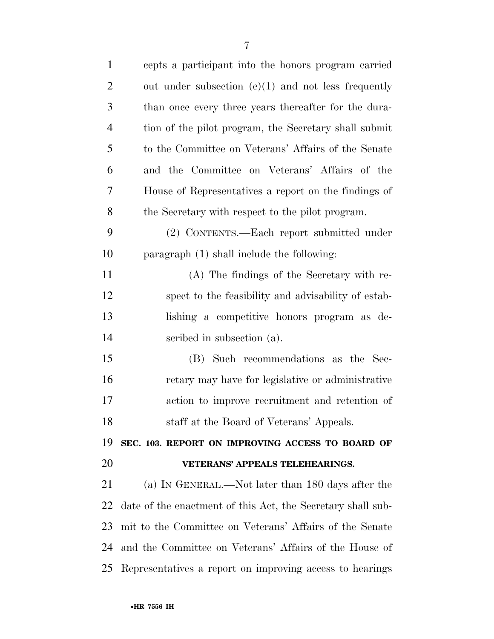| $\mathbf{1}$   | cepts a participant into the honors program carried         |
|----------------|-------------------------------------------------------------|
| $\overline{2}$ | out under subsection $(e)(1)$ and not less frequently       |
| 3              | than once every three years thereafter for the dura-        |
| $\overline{4}$ | tion of the pilot program, the Secretary shall submit       |
| 5              | to the Committee on Veterans' Affairs of the Senate         |
| 6              | and the Committee on Veterans' Affairs of the               |
| 7              | House of Representatives a report on the findings of        |
| 8              | the Secretary with respect to the pilot program.            |
| 9              | (2) CONTENTS.—Each report submitted under                   |
| 10             | paragraph (1) shall include the following:                  |
| 11             | (A) The findings of the Secretary with re-                  |
| 12             | spect to the feasibility and advisability of estab-         |
| 13             | lishing a competitive honors program as de-                 |
| 14             | scribed in subsection (a).                                  |
| 15             | (B) Such recommendations as the Sec-                        |
| 16             | retary may have for legislative or administrative           |
| 17             | action to improve recruitment and retention of              |
| 18             | staff at the Board of Veterans' Appeals.                    |
| 19             | SEC. 103. REPORT ON IMPROVING ACCESS TO BOARD OF            |
| 20             | VETERANS' APPEALS TELEHEARINGS.                             |
| 21             | (a) IN GENERAL.—Not later than 180 days after the           |
| 22             | date of the enactment of this Act, the Secretary shall sub- |
| 23             | mit to the Committee on Veterans' Affairs of the Senate     |
| 24             | and the Committee on Veterans' Affairs of the House of      |
| 25             | Representatives a report on improving access to hearings    |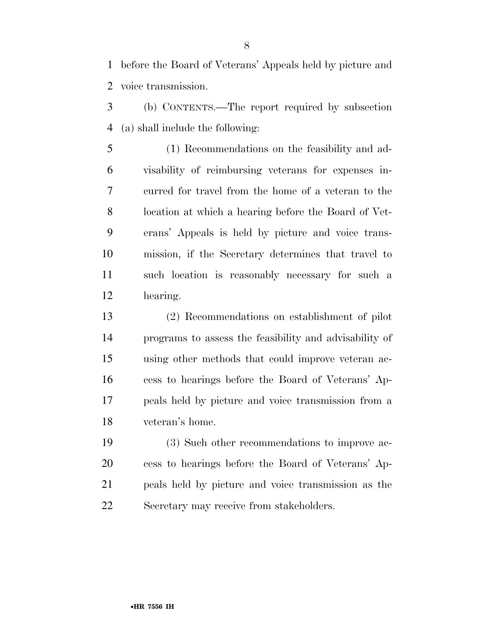before the Board of Veterans' Appeals held by picture and voice transmission.

 (b) CONTENTS.—The report required by subsection (a) shall include the following:

 (1) Recommendations on the feasibility and ad- visability of reimbursing veterans for expenses in- curred for travel from the home of a veteran to the location at which a hearing before the Board of Vet- erans' Appeals is held by picture and voice trans- mission, if the Secretary determines that travel to such location is reasonably necessary for such a hearing.

 (2) Recommendations on establishment of pilot programs to assess the feasibility and advisability of using other methods that could improve veteran ac- cess to hearings before the Board of Veterans' Ap- peals held by picture and voice transmission from a veteran's home.

 (3) Such other recommendations to improve ac- cess to hearings before the Board of Veterans' Ap- peals held by picture and voice transmission as the Secretary may receive from stakeholders.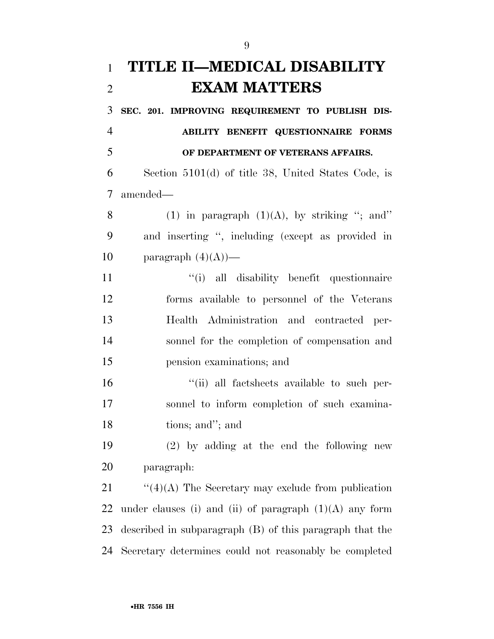# **TITLE II—MEDICAL DISABILITY EXAM MATTERS**

 **SEC. 201. IMPROVING REQUIREMENT TO PUBLISH DIS- ABILITY BENEFIT QUESTIONNAIRE FORMS OF DEPARTMENT OF VETERANS AFFAIRS.** 

 Section 5101(d) of title 38, United States Code, is amended—

8 (1) in paragraph  $(1)(A)$ , by striking "; and" and inserting '', including (except as provided in 10 paragraph  $(4)(A)$ —

 ''(i) all disability benefit questionnaire forms available to personnel of the Veterans Health Administration and contracted per- sonnel for the completion of compensation and pension examinations; and

 ''(ii) all factsheets available to such per- sonnel to inform completion of such examina-tions; and''; and

 (2) by adding at the end the following new paragraph:

 $\frac{1}{2}$  (4)(A) The Secretary may exclude from publication 22 under clauses (i) and (ii) of paragraph  $(1)(A)$  any form described in subparagraph (B) of this paragraph that the Secretary determines could not reasonably be completed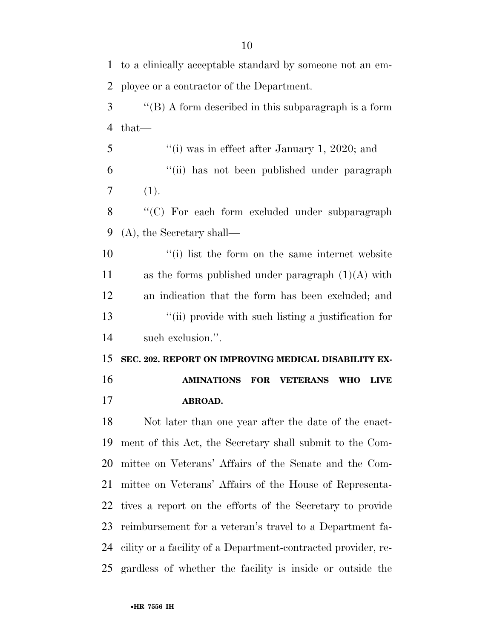| $\mathbf{1}$   | to a clinically acceptable standard by someone not an em-      |
|----------------|----------------------------------------------------------------|
| $\overline{2}$ | ployee or a contractor of the Department.                      |
| 3              | " $(B)$ A form described in this subparagraph is a form        |
| $\overline{4}$ | $that-$                                                        |
| 5              | "(i) was in effect after January 1, 2020; and                  |
| 6              | "(ii) has not been published under paragraph                   |
| 7              | (1).                                                           |
| 8              | "(C) For each form excluded under subparagraph                 |
| 9              | $(A)$ , the Secretary shall—                                   |
| 10             | "(i) list the form on the same internet website                |
| 11             | as the forms published under paragraph $(1)(A)$ with           |
| 12             | an indication that the form has been excluded; and             |
| 13             | "(ii) provide with such listing a justification for            |
| 14             | such exclusion.".                                              |
| 15             | SEC. 202. REPORT ON IMPROVING MEDICAL DISABILITY EX-           |
| 16             | <b>AMINATIONS</b><br>FOR VETERANS<br><b>WHO</b><br><b>LIVE</b> |
| 17             | ABROAD.                                                        |
| 18             | Not later than one year after the date of the enact-           |
| 19             | ment of this Act, the Secretary shall submit to the Com-       |
| 20             | mittee on Veterans' Affairs of the Senate and the Com-         |
| 21             | mittee on Veterans' Affairs of the House of Representa-        |
|                |                                                                |
| 22             | tives a report on the efforts of the Secretary to provide      |
| 23             | reimbursement for a veteran's travel to a Department fa-       |
| 24             | cility or a facility of a Department-contracted provider, re-  |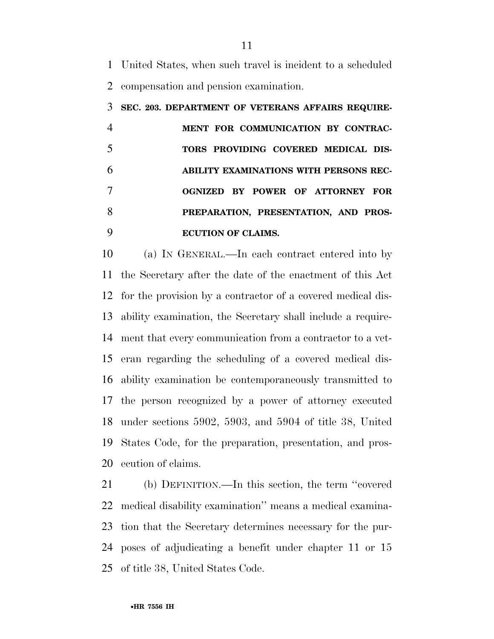United States, when such travel is incident to a scheduled compensation and pension examination.

## **SEC. 203. DEPARTMENT OF VETERANS AFFAIRS REQUIRE- MENT FOR COMMUNICATION BY CONTRAC-TORS PROVIDING COVERED MEDICAL DIS-**

 **ABILITY EXAMINATIONS WITH PERSONS REC- OGNIZED BY POWER OF ATTORNEY FOR PREPARATION, PRESENTATION, AND PROS-ECUTION OF CLAIMS.** 

 (a) IN GENERAL.—In each contract entered into by the Secretary after the date of the enactment of this Act for the provision by a contractor of a covered medical dis- ability examination, the Secretary shall include a require- ment that every communication from a contractor to a vet- eran regarding the scheduling of a covered medical dis- ability examination be contemporaneously transmitted to the person recognized by a power of attorney executed under sections 5902, 5903, and 5904 of title 38, United States Code, for the preparation, presentation, and pros-ecution of claims.

 (b) DEFINITION.—In this section, the term ''covered medical disability examination'' means a medical examina- tion that the Secretary determines necessary for the pur- poses of adjudicating a benefit under chapter 11 or 15 of title 38, United States Code.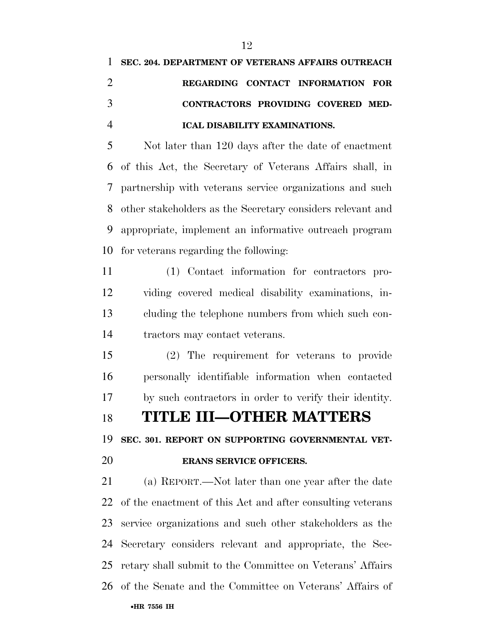|                | 1 SEC. 204. DEPARTMENT OF VETERANS AFFAIRS OUTREACH |
|----------------|-----------------------------------------------------|
| 2              | REGARDING CONTACT INFORMATION FOR                   |
| 3              | CONTRACTORS PROVIDING COVERED MED-                  |
| $\overline{4}$ | ICAL DISABILITY EXAMINATIONS.                       |

 Not later than 120 days after the date of enactment of this Act, the Secretary of Veterans Affairs shall, in partnership with veterans service organizations and such other stakeholders as the Secretary considers relevant and appropriate, implement an informative outreach program for veterans regarding the following:

 (1) Contact information for contractors pro- viding covered medical disability examinations, in- cluding the telephone numbers from which such con-tractors may contact veterans.

 (2) The requirement for veterans to provide personally identifiable information when contacted by such contractors in order to verify their identity.

**TITLE III—OTHER MATTERS** 

**SEC. 301. REPORT ON SUPPORTING GOVERNMENTAL VET-**

### **ERANS SERVICE OFFICERS.**

•**HR 7556 IH** (a) REPORT.—Not later than one year after the date of the enactment of this Act and after consulting veterans service organizations and such other stakeholders as the Secretary considers relevant and appropriate, the Sec- retary shall submit to the Committee on Veterans' Affairs of the Senate and the Committee on Veterans' Affairs of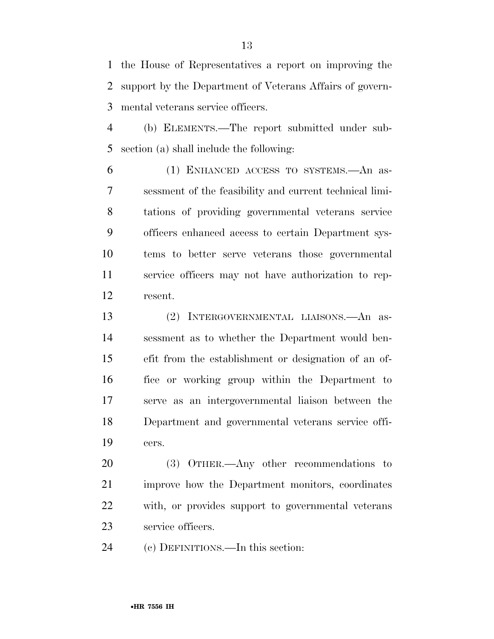the House of Representatives a report on improving the support by the Department of Veterans Affairs of govern-mental veterans service officers.

 (b) ELEMENTS.—The report submitted under sub-section (a) shall include the following:

 (1) ENHANCED ACCESS TO SYSTEMS.—An as- sessment of the feasibility and current technical limi- tations of providing governmental veterans service officers enhanced access to certain Department sys- tems to better serve veterans those governmental service officers may not have authorization to rep-resent.

 (2) INTERGOVERNMENTAL LIAISONS.—An as- sessment as to whether the Department would ben- efit from the establishment or designation of an of- fice or working group within the Department to serve as an intergovernmental liaison between the Department and governmental veterans service offi-cers.

 (3) OTHER.—Any other recommendations to improve how the Department monitors, coordinates with, or provides support to governmental veterans service officers.

(c) DEFINITIONS.—In this section: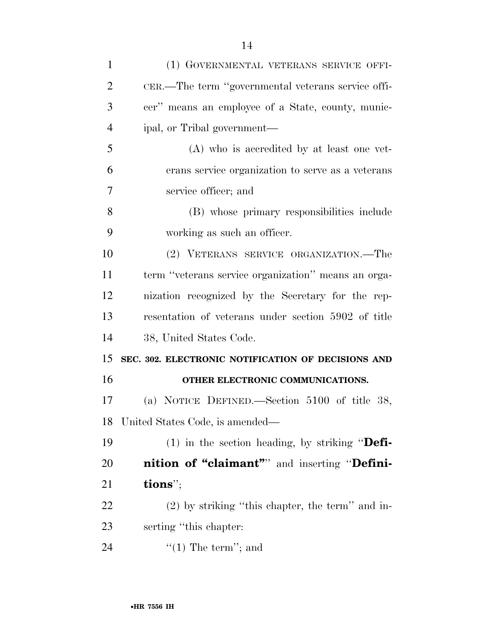| $\mathbf{1}$   | (1) GOVERNMENTAL VETERANS SERVICE OFFI-                     |
|----------------|-------------------------------------------------------------|
| $\overline{2}$ | CER.—The term "governmental veterans service offi-          |
| 3              | cer" means an employee of a State, county, munic-           |
| $\overline{4}$ | ipal, or Tribal government—                                 |
| 5              | (A) who is accredited by at least one vet-                  |
| 6              | erans service organization to serve as a veterans           |
| $\overline{7}$ | service officer; and                                        |
| 8              | (B) whose primary responsibilities include                  |
| 9              | working as such an officer.                                 |
| 10             | (2) VETERANS SERVICE ORGANIZATION.-The                      |
| 11             | term "veterans service organization" means an orga-         |
| 12             | nization recognized by the Secretary for the rep-           |
| 13             | resentation of veterans under section 5902 of title         |
| 14             | 38, United States Code.                                     |
| 15             | SEC. 302. ELECTRONIC NOTIFICATION OF DECISIONS AND          |
| 16             | OTHER ELECTRONIC COMMUNICATIONS.                            |
| 17             | (a) NOTICE DEFINED.—Section $5100$ of title 38,             |
| 18             | United States Code, is amended—                             |
| 19             | (1) in the section heading, by striking " $\mathbf{Defi}$ - |
| 20             | <b>nition of "claimant"</b> and inserting "Defini-          |
| 21             | $tions$ ;                                                   |
| 22             | $(2)$ by striking "this chapter, the term" and in-          |
| 23             | serting "this chapter:                                      |
| 24             | $\lq(1)$ The term''; and                                    |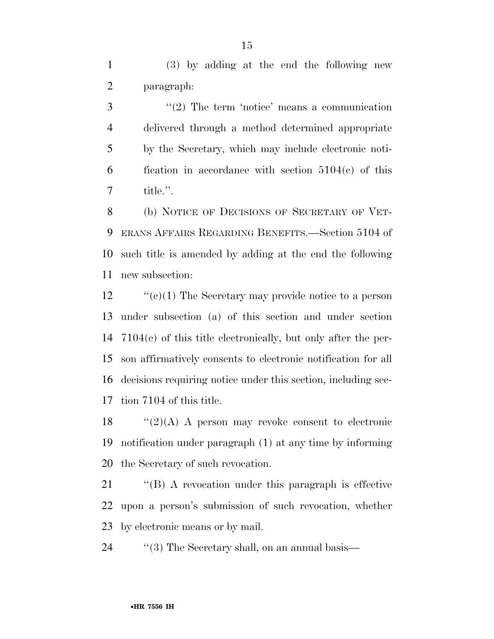(3) by adding at the end the following new paragraph:

3 ''(2) The term 'notice' means a communication delivered through a method determined appropriate by the Secretary, which may include electronic noti- fication in accordance with section 5104(c) of this title.''.

 (b) NOTICE OF DECISIONS OF SECRETARY OF VET- ERANS AFFAIRS REGARDING BENEFITS.—Section 5104 of such title is amended by adding at the end the following new subsection:

 $\cdot$  (c)(1) The Secretary may provide notice to a person under subsection (a) of this section and under section 7104(e) of this title electronically, but only after the per- son affirmatively consents to electronic notification for all decisions requiring notice under this section, including sec-tion 7104 of this title.

18  $\frac{1}{2}(2)$  (A) A person may revoke consent to electronic notification under paragraph (1) at any time by informing the Secretary of such revocation.

 ''(B) A revocation under this paragraph is effective upon a person's submission of such revocation, whether by electronic means or by mail.

24 ''(3) The Secretary shall, on an annual basis—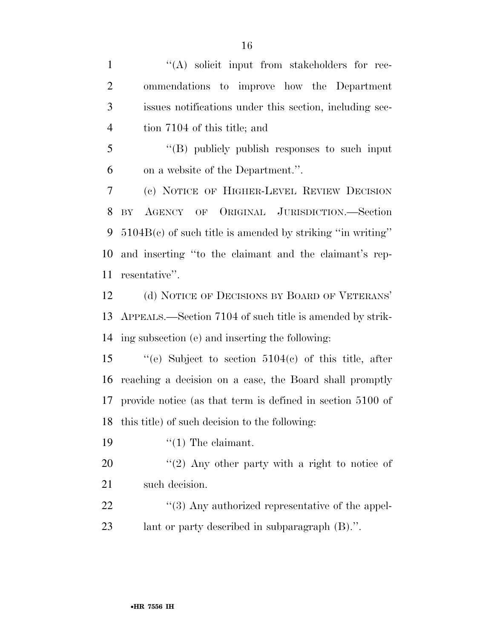1 "(A) solicit input from stakeholders for rec- ommendations to improve how the Department issues notifications under this section, including sec- tion 7104 of this title; and ''(B) publicly publish responses to such input on a website of the Department.''. (c) NOTICE OF HIGHER-LEVEL REVIEW DECISION BY AGENCY OF ORIGINAL JURISDICTION.—Section 5104B(c) of such title is amended by striking ''in writing'' and inserting ''to the claimant and the claimant's rep- resentative''. (d) NOTICE OF DECISIONS BY BOARD OF VETERANS' APPEALS.—Section 7104 of such title is amended by strik- ing subsection (e) and inserting the following: ''(e) Subject to section 5104(c) of this title, after reaching a decision on a case, the Board shall promptly provide notice (as that term is defined in section 5100 of this title) of such decision to the following:  $\frac{1}{2}$  The claimant.  $\frac{1}{2}$  (2) Any other party with a right to notice of such decision.  $\frac{4}{3}$  Any authorized representative of the appel-

lant or party described in subparagraph (B).''.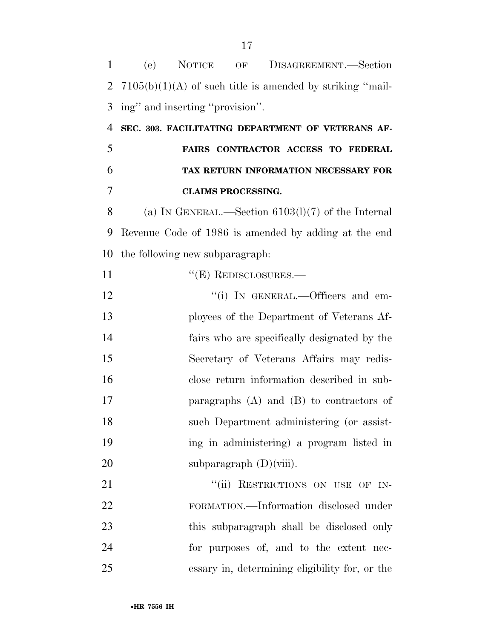(e) NOTICE OF DISAGREEMENT.—Section  $7105(b)(1)(A)$  of such title is amended by striking "mail- ing'' and inserting ''provision''. **SEC. 303. FACILITATING DEPARTMENT OF VETERANS AF- FAIRS CONTRACTOR ACCESS TO FEDERAL TAX RETURN INFORMATION NECESSARY FOR CLAIMS PROCESSING.**  (a) IN GENERAL.—Section 6103(l)(7) of the Internal Revenue Code of 1986 is amended by adding at the end the following new subparagraph: 11 "'(E) REDISCLOSURES.—  $\text{``(i)}$  In GENERAL.—Officers and em- ployees of the Department of Veterans Af- fairs who are specifically designated by the Secretary of Veterans Affairs may redis- close return information described in sub- paragraphs (A) and (B) to contractors of such Department administering (or assist- ing in administering) a program listed in 20 subparagraph (D)(viii). 21 ""(ii) RESTRICTIONS ON USE OF IN- FORMATION.—Information disclosed under this subparagraph shall be disclosed only for purposes of, and to the extent nec-essary in, determining eligibility for, or the